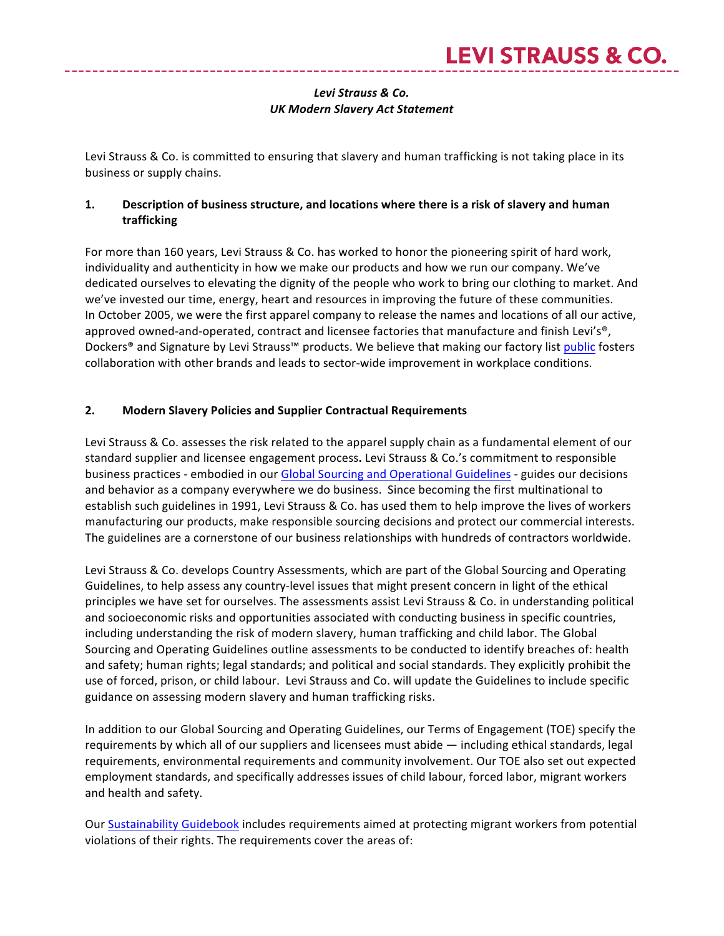# Levi Strauss & Co. *UK Modern Slavery Act Statement*

Levi Strauss & Co. is committed to ensuring that slavery and human trafficking is not taking place in its business or supply chains.

## **1.** Description of business structure, and locations where there is a risk of slavery and human **trafficking**

For more than 160 years, Levi Strauss & Co. has worked to honor the pioneering spirit of hard work, individuality and authenticity in how we make our products and how we run our company. We've dedicated ourselves to elevating the dignity of the people who work to bring our clothing to market. And we've invested our time, energy, heart and resources in improving the future of these communities. In October 2005, we were the first apparel company to release the names and locations of all our active, approved owned-and-operated, contract and licensee factories that manufacture and finish Levi's®, Dockers® and Signature by Levi Strauss™ products. We believe that making our factory list public fosters collaboration with other brands and leads to sector-wide improvement in workplace conditions.

## 2. Modern Slavery Policies and Supplier Contractual Requirements

Levi Strauss & Co. assesses the risk related to the apparel supply chain as a fundamental element of our standard supplier and licensee engagement process. Levi Strauss & Co.'s commitment to responsible business practices - embodied in our Global Sourcing and Operational Guidelines - guides our decisions and behavior as a company everywhere we do business. Since becoming the first multinational to establish such guidelines in 1991, Levi Strauss & Co. has used them to help improve the lives of workers manufacturing our products, make responsible sourcing decisions and protect our commercial interests. The guidelines are a cornerstone of our business relationships with hundreds of contractors worldwide.

Levi Strauss & Co. develops Country Assessments, which are part of the Global Sourcing and Operating Guidelines, to help assess any country-level issues that might present concern in light of the ethical principles we have set for ourselves. The assessments assist Levi Strauss & Co. in understanding political and socioeconomic risks and opportunities associated with conducting business in specific countries, including understanding the risk of modern slavery, human trafficking and child labor. The Global Sourcing and Operating Guidelines outline assessments to be conducted to identify breaches of: health and safety; human rights; legal standards; and political and social standards. They explicitly prohibit the use of forced, prison, or child labour. Levi Strauss and Co. will update the Guidelines to include specific guidance on assessing modern slavery and human trafficking risks.

In addition to our Global Sourcing and Operating Guidelines, our Terms of Engagement (TOE) specify the requirements by which all of our suppliers and licensees must abide  $-$  including ethical standards, legal requirements, environmental requirements and community involvement. Our TOE also set out expected employment standards, and specifically addresses issues of child labour, forced labor, migrant workers and health and safety.

Our Sustainability Guidebook includes requirements aimed at protecting migrant workers from potential violations of their rights. The requirements cover the areas of: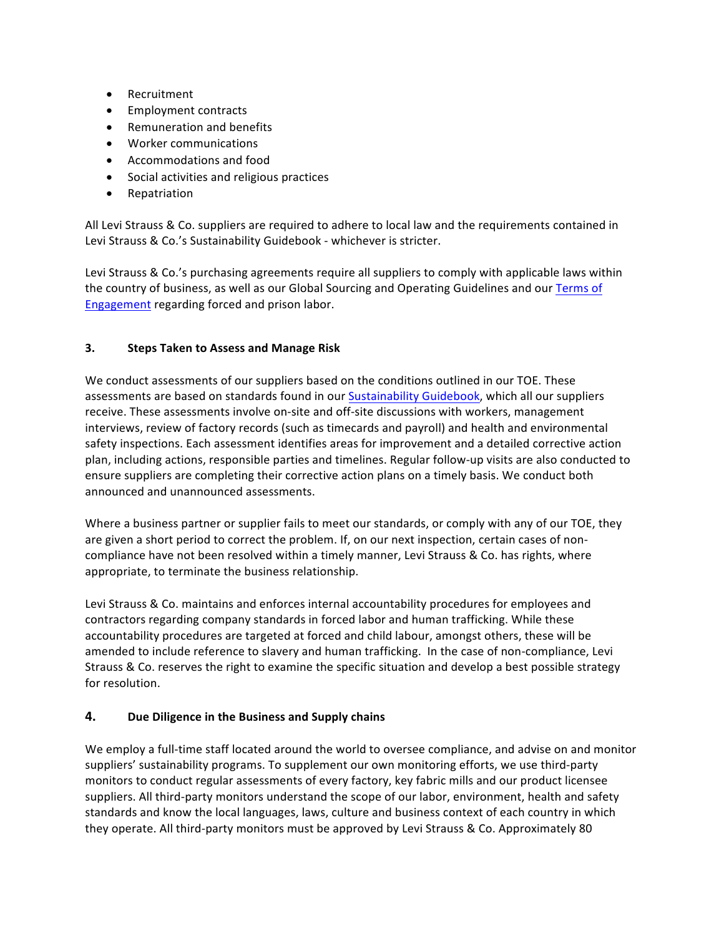- Recruitment
- Employment contracts
- Remuneration and benefits
- Worker communications
- Accommodations and food
- Social activities and religious practices
- Repatriation

All Levi Strauss & Co. suppliers are required to adhere to local law and the requirements contained in Levi Strauss & Co.'s Sustainability Guidebook - whichever is stricter.

Levi Strauss & Co.'s purchasing agreements require all suppliers to comply with applicable laws within the country of business, as well as our Global Sourcing and Operating Guidelines and our Terms of Engagement regarding forced and prison labor.

#### **3. Steps Taken to Assess and Manage Risk**

We conduct assessments of our suppliers based on the conditions outlined in our TOE. These assessments are based on standards found in our Sustainability Guidebook, which all our suppliers receive. These assessments involve on-site and off-site discussions with workers, management interviews, review of factory records (such as timecards and payroll) and health and environmental safety inspections. Each assessment identifies areas for improvement and a detailed corrective action plan, including actions, responsible parties and timelines. Regular follow-up visits are also conducted to ensure suppliers are completing their corrective action plans on a timely basis. We conduct both announced and unannounced assessments.

Where a business partner or supplier fails to meet our standards, or comply with any of our TOE, they are given a short period to correct the problem. If, on our next inspection, certain cases of noncompliance have not been resolved within a timely manner, Levi Strauss & Co. has rights, where appropriate, to terminate the business relationship.

Levi Strauss & Co. maintains and enforces internal accountability procedures for employees and contractors regarding company standards in forced labor and human trafficking. While these accountability procedures are targeted at forced and child labour, amongst others, these will be amended to include reference to slavery and human trafficking. In the case of non-compliance, Levi Strauss & Co. reserves the right to examine the specific situation and develop a best possible strategy for resolution.

### **4.** Due Diligence in the Business and Supply chains

We employ a full-time staff located around the world to oversee compliance, and advise on and monitor suppliers' sustainability programs. To supplement our own monitoring efforts, we use third-party monitors to conduct regular assessments of every factory, key fabric mills and our product licensee suppliers. All third-party monitors understand the scope of our labor, environment, health and safety standards and know the local languages, laws, culture and business context of each country in which they operate. All third-party monitors must be approved by Levi Strauss & Co. Approximately 80